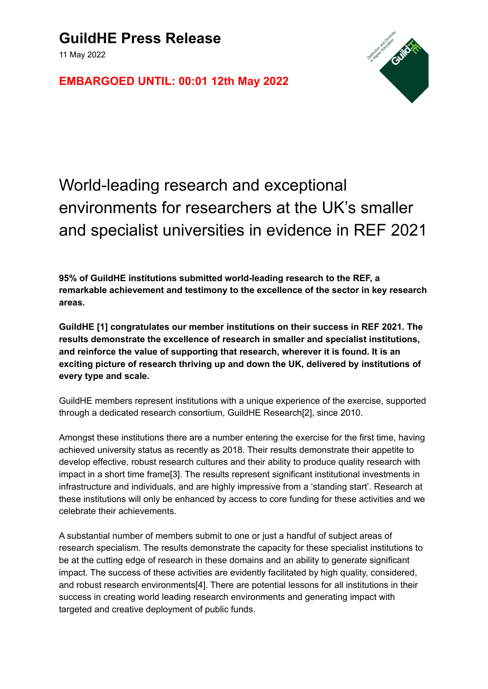11 May 2022

**EMBARGOED UNTIL: 00:01 12th May 2022**



## World-leading research and exceptional environments for researchers at the UK's smaller and specialist universities in evidence in REF 2021

**95% of GuildHE institutions submitted world-leading research to the REF, a remarkable achievement and testimony to the excellence of the sector in key research areas.**

**GuildHE [1] congratulates our member institutions on their success in REF 2021. The results demonstrate the excellence of research in smaller and specialist institutions, and reinforce the value of supporting that research, wherever it is found. It is an exciting picture of research thriving up and down the UK, delivered by institutions of every type and scale.**

GuildHE members represent institutions with a unique experience of the exercise, supported through a dedicated research consortium, GuildHE Research[2], since 2010.

Amongst these institutions there are a number entering the exercise for the first time, having achieved university status as recently as 2018. Their results demonstrate their appetite to develop effective, robust research cultures and their ability to produce quality research with impact in a short time frame[3]. The results represent significant institutional investments in infrastructure and individuals, and are highly impressive from a 'standing start'. Research at these institutions will only be enhanced by access to core funding for these activities and we celebrate their achievements.

A substantial number of members submit to one or just a handful of subject areas of research specialism. The results demonstrate the capacity for these specialist institutions to be at the cutting edge of research in these domains and an ability to generate significant impact. The success of these activities are evidently facilitated by high quality, considered, and robust research environments[4]. There are potential lessons for all institutions in their success in creating world leading research environments and generating impact with targeted and creative deployment of public funds.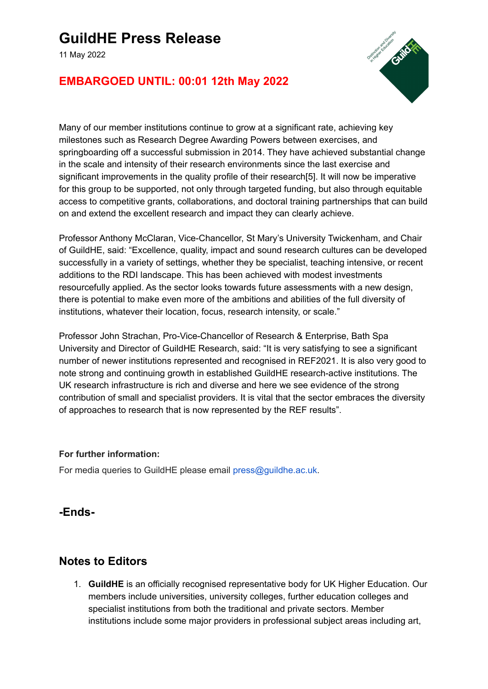## **GuildHE Press Release**

11 May 2022



#### **EMBARGOED UNTIL: 00:01 12th May 2022**

Many of our member institutions continue to grow at a significant rate, achieving key milestones such as Research Degree Awarding Powers between exercises, and springboarding off a successful submission in 2014. They have achieved substantial change in the scale and intensity of their research environments since the last exercise and significant improvements in the quality profile of their research[5]. It will now be imperative for this group to be supported, not only through targeted funding, but also through equitable access to competitive grants, collaborations, and doctoral training partnerships that can build on and extend the excellent research and impact they can clearly achieve.

Professor Anthony McClaran, Vice-Chancellor, St Mary's University Twickenham, and Chair of GuildHE, said: "Excellence, quality, impact and sound research cultures can be developed successfully in a variety of settings, whether they be specialist, teaching intensive, or recent additions to the RDI landscape. This has been achieved with modest investments resourcefully applied. As the sector looks towards future assessments with a new design, there is potential to make even more of the ambitions and abilities of the full diversity of institutions, whatever their location, focus, research intensity, or scale."

Professor John Strachan, Pro-Vice-Chancellor of Research & Enterprise, Bath Spa University and Director of GuildHE Research, said: "It is very satisfying to see a significant number of newer institutions represented and recognised in REF2021. It is also very good to note strong and continuing growth in established GuildHE research-active institutions. The UK research infrastructure is rich and diverse and here we see evidence of the strong contribution of small and specialist providers. It is vital that the sector embraces the diversity of approaches to research that is now represented by the REF results".

#### **For further information:**

For media queries to GuildHE please email press@guildhe.ac.uk.

#### **-Ends-**

#### **Notes to Editors**

1. **GuildHE** is an officially recognised representative body for UK Higher Education. Our members include universities, university colleges, further education colleges and specialist institutions from both the traditional and private sectors. Member institutions include some major providers in professional subject areas including art,